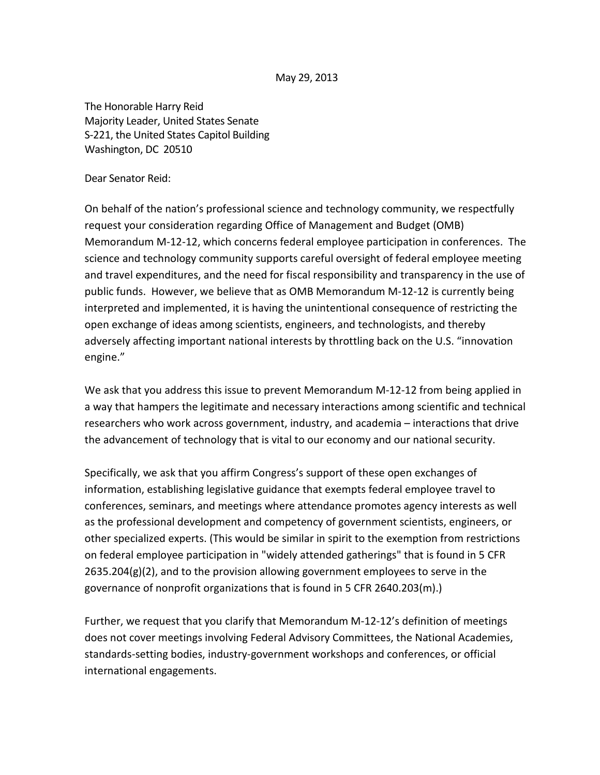May 29, 2013

The Honorable Harry Reid Majority Leader, United States Senate S-221, the United States Capitol Building Washington, DC 20510

Dear Senator Reid:

On behalf of the nation's professional science and technology community, we respectfully request your consideration regarding Office of Management and Budget (OMB) Memorandum M-12-12, which concerns federal employee participation in conferences. The science and technology community supports careful oversight of federal employee meeting and travel expenditures, and the need for fiscal responsibility and transparency in the use of public funds. However, we believe that as OMB Memorandum M-12-12 is currently being interpreted and implemented, it is having the unintentional consequence of restricting the open exchange of ideas among scientists, engineers, and technologists, and thereby adversely affecting important national interests by throttling back on the U.S. "innovation engine."

We ask that you address this issue to prevent Memorandum M-12-12 from being applied in a way that hampers the legitimate and necessary interactions among scientific and technical researchers who work across government, industry, and academia – interactions that drive the advancement of technology that is vital to our economy and our national security.

Specifically, we ask that you affirm Congress's support of these open exchanges of information, establishing legislative guidance that exempts federal employee travel to conferences, seminars, and meetings where attendance promotes agency interests as well as the professional development and competency of government scientists, engineers, or other specialized experts. (This would be similar in spirit to the exemption from restrictions on federal employee participation in "widely attended gatherings" that is found in 5 CFR 2635.204(g)(2), and to the provision allowing government employees to serve in the governance of nonprofit organizations that is found in 5 CFR 2640.203(m).)

Further, we request that you clarify that Memorandum M-12-12's definition of meetings does not cover meetings involving Federal Advisory Committees, the National Academies, standards-setting bodies, industry-government workshops and conferences, or official international engagements.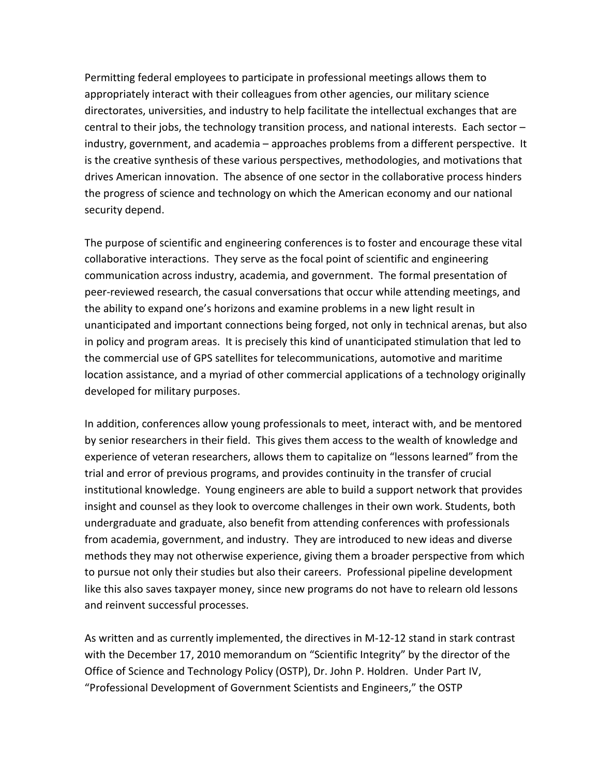Permitting federal employees to participate in professional meetings allows them to appropriately interact with their colleagues from other agencies, our military science directorates, universities, and industry to help facilitate the intellectual exchanges that are central to their jobs, the technology transition process, and national interests. Each sector – industry, government, and academia – approaches problems from a different perspective. It is the creative synthesis of these various perspectives, methodologies, and motivations that drives American innovation. The absence of one sector in the collaborative process hinders the progress of science and technology on which the American economy and our national security depend.

The purpose of scientific and engineering conferences is to foster and encourage these vital collaborative interactions. They serve as the focal point of scientific and engineering communication across industry, academia, and government. The formal presentation of peer-reviewed research, the casual conversations that occur while attending meetings, and the ability to expand one's horizons and examine problems in a new light result in unanticipated and important connections being forged, not only in technical arenas, but also in policy and program areas. It is precisely this kind of unanticipated stimulation that led to the commercial use of GPS satellites for telecommunications, automotive and maritime location assistance, and a myriad of other commercial applications of a technology originally developed for military purposes.

In addition, conferences allow young professionals to meet, interact with, and be mentored by senior researchers in their field. This gives them access to the wealth of knowledge and experience of veteran researchers, allows them to capitalize on "lessons learned" from the trial and error of previous programs, and provides continuity in the transfer of crucial institutional knowledge. Young engineers are able to build a support network that provides insight and counsel as they look to overcome challenges in their own work. Students, both undergraduate and graduate, also benefit from attending conferences with professionals from academia, government, and industry. They are introduced to new ideas and diverse methods they may not otherwise experience, giving them a broader perspective from which to pursue not only their studies but also their careers. Professional pipeline development like this also saves taxpayer money, since new programs do not have to relearn old lessons and reinvent successful processes.

As written and as currently implemented, the directives in M-12-12 stand in stark contrast with the December 17, 2010 memorandum on "Scientific Integrity" by the director of the Office of Science and Technology Policy (OSTP), Dr. John P. Holdren. Under Part IV, "Professional Development of Government Scientists and Engineers," the OSTP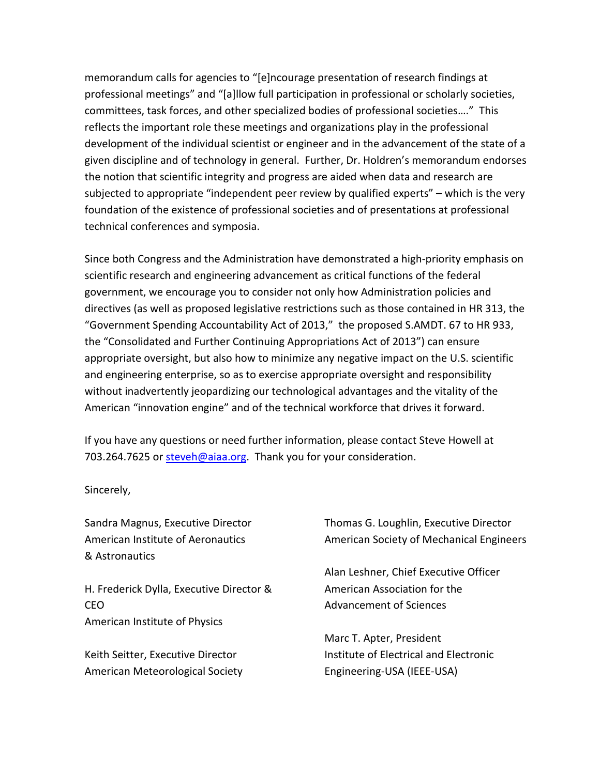memorandum calls for agencies to "[e]ncourage presentation of research findings at professional meetings" and "[a]llow full participation in professional or scholarly societies, committees, task forces, and other specialized bodies of professional societies…." This reflects the important role these meetings and organizations play in the professional development of the individual scientist or engineer and in the advancement of the state of a given discipline and of technology in general. Further, Dr. Holdren's memorandum endorses the notion that scientific integrity and progress are aided when data and research are subjected to appropriate "independent peer review by qualified experts" – which is the very foundation of the existence of professional societies and of presentations at professional technical conferences and symposia.

Since both Congress and the Administration have demonstrated a high-priority emphasis on scientific research and engineering advancement as critical functions of the federal government, we encourage you to consider not only how Administration policies and directives (as well as proposed legislative restrictions such as those contained in HR 313, the "Government Spending Accountability Act of 2013," the proposed S.AMDT. 67 to HR 933, the "Consolidated and Further Continuing Appropriations Act of 2013") can ensure appropriate oversight, but also how to minimize any negative impact on the U.S. scientific and engineering enterprise, so as to exercise appropriate oversight and responsibility without inadvertently jeopardizing our technological advantages and the vitality of the American "innovation engine" and of the technical workforce that drives it forward.

If you have any questions or need further information, please contact Steve Howell at 703.264.7625 or [steveh@aiaa.org.](mailto:steveh@aiaa.org) Thank you for your consideration.

Sincerely,

Sandra Magnus, Executive Director American Institute of Aeronautics & Astronautics

H. Frederick Dylla, Executive Director & CEO American Institute of Physics

Keith Seitter, Executive Director American Meteorological Society Thomas G. Loughlin, Executive Director American Society of Mechanical Engineers

Alan Leshner, Chief Executive Officer American Association for the Advancement of Sciences

Marc T. Apter, President Institute of Electrical and Electronic Engineering-USA (IEEE-USA)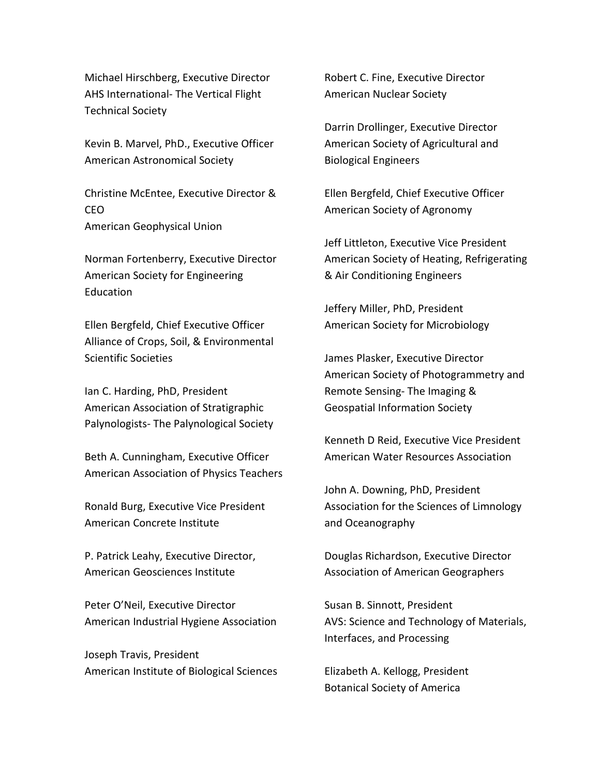Michael Hirschberg, Executive Director AHS International- The Vertical Flight Technical Society

Kevin B. Marvel, PhD., Executive Officer American Astronomical Society

Christine McEntee, Executive Director & CEO American Geophysical Union

Norman Fortenberry, Executive Director American Society for Engineering Education

Ellen Bergfeld, Chief Executive Officer Alliance of Crops, Soil, & Environmental Scientific Societies

Ian C. Harding, PhD, President American Association of Stratigraphic Palynologists- The Palynological Society

Beth A. Cunningham, Executive Officer American Association of Physics Teachers

Ronald Burg, Executive Vice President American Concrete Institute

P. Patrick Leahy, Executive Director, American Geosciences Institute

Peter O'Neil, Executive Director American Industrial Hygiene Association

Joseph Travis, President American Institute of Biological Sciences Robert C. Fine, Executive Director American Nuclear Society

Darrin Drollinger, Executive Director American Society of Agricultural and Biological Engineers

Ellen Bergfeld, Chief Executive Officer American Society of Agronomy

Jeff Littleton, Executive Vice President American Society of Heating, Refrigerating & Air Conditioning Engineers

Jeffery Miller, PhD, President American Society for Microbiology

James Plasker, Executive Director American Society of Photogrammetry and Remote Sensing- The Imaging & Geospatial Information Society

Kenneth D Reid, Executive Vice President American Water Resources Association

John A. Downing, PhD, President Association for the Sciences of Limnology and Oceanography

Douglas Richardson, Executive Director Association of American Geographers

Susan B. Sinnott, President AVS: Science and Technology of Materials, Interfaces, and Processing

Elizabeth A. Kellogg, President Botanical Society of America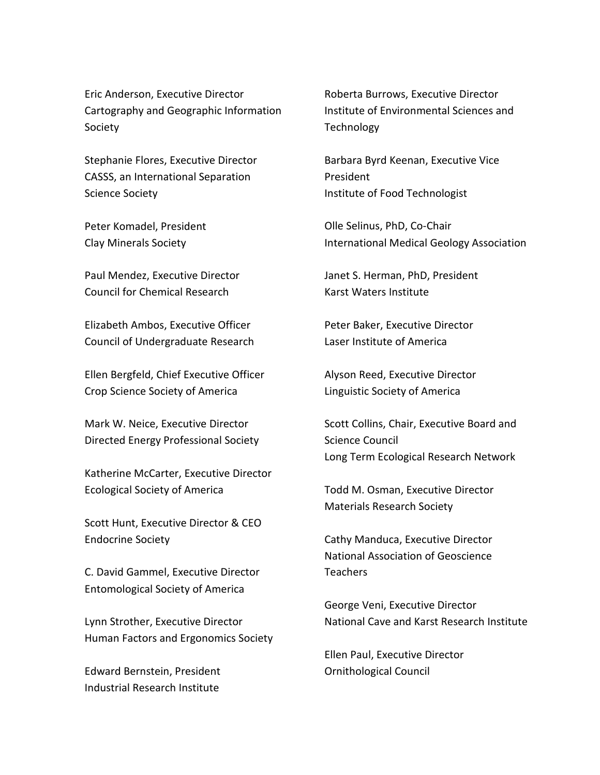Eric Anderson, Executive Director Cartography and Geographic Information Society

Stephanie Flores, Executive Director CASSS, an International Separation Science Society

Peter Komadel, President Clay Minerals Society

Paul Mendez, Executive Director Council for Chemical Research

Elizabeth Ambos, Executive Officer Council of Undergraduate Research

Ellen Bergfeld, Chief Executive Officer Crop Science Society of America

Mark W. Neice, Executive Director Directed Energy Professional Society

Katherine McCarter, Executive Director Ecological Society of America

Scott Hunt, Executive Director & CEO Endocrine Society

C. David Gammel, Executive Director Entomological Society of America

Lynn Strother, Executive Director Human Factors and Ergonomics Society

Edward Bernstein, President Industrial Research Institute

Roberta Burrows, Executive Director Institute of Environmental Sciences and Technology

Barbara Byrd Keenan, Executive Vice President Institute of Food Technologist

Olle Selinus, PhD, Co-Chair International Medical Geology Association

Janet S. Herman, PhD, President Karst Waters Institute

Peter Baker, Executive Director Laser Institute of America

Alyson Reed, Executive Director Linguistic Society of America

Scott Collins, Chair, Executive Board and Science Council Long Term Ecological Research Network

Todd M. Osman, Executive Director Materials Research Society

Cathy Manduca, Executive Director National Association of Geoscience Teachers

George Veni, Executive Director National Cave and Karst Research Institute

Ellen Paul, Executive Director Ornithological Council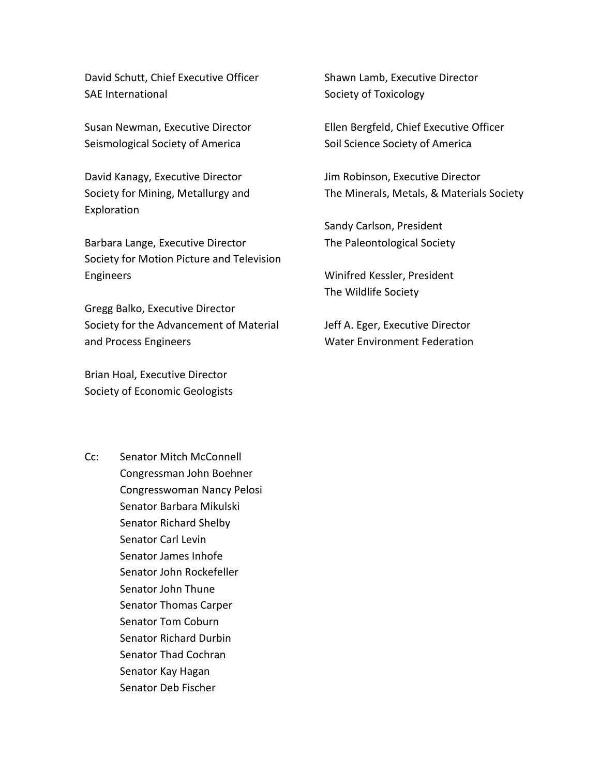David Schutt, Chief Executive Officer SAE International

Susan Newman, Executive Director Seismological Society of America

David Kanagy, Executive Director Society for Mining, Metallurgy and Exploration

Barbara Lange, Executive Director Society for Motion Picture and Television Engineers

Gregg Balko, Executive Director Society for the Advancement of Material and Process Engineers

Brian Hoal, Executive Director Society of Economic Geologists Shawn Lamb, Executive Director Society of Toxicology

Ellen Bergfeld, Chief Executive Officer Soil Science Society of America

Jim Robinson, Executive Director The Minerals, Metals, & Materials Society

Sandy Carlson, President The Paleontological Society

Winifred Kessler, President The Wildlife Society

Jeff A. Eger, Executive Director Water Environment Federation

Cc: Senator Mitch McConnell Congressman John Boehner Congresswoman Nancy Pelosi Senator Barbara Mikulski Senator Richard Shelby Senator Carl Levin Senator James Inhofe Senator John Rockefeller Senator John Thune Senator Thomas Carper Senator Tom Coburn Senator Richard Durbin Senator Thad Cochran Senator Kay Hagan Senator Deb Fischer